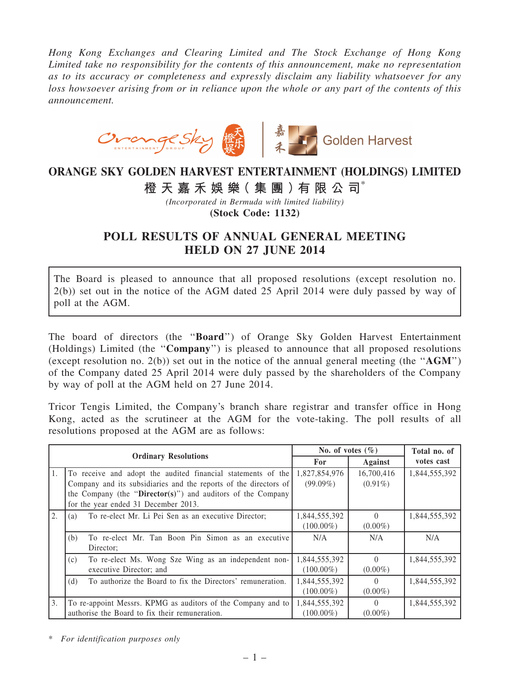Hong Kong Exchanges and Clearing Limited and The Stock Exchange of Hong Kong Limited take no responsibility for the contents of this announcement, make no representation as to its accuracy or completeness and expressly disclaim any liability whatsoever for any loss howsoever arising from or in reliance upon the whole or any part of the contents of this announcement.



## ORANGE SKY GOLDEN HARVEST ENTERTAINMENT (HOLDINGS) LIMITED

## 橙 天 嘉 禾 娛 樂 (集 團 ) 有 限 公 司 $^*$

(Incorporated in Bermuda with limited liability) (Stock Code: 1132)

## POLL RESULTS OF ANNUAL GENERAL MEETING HELD ON 27 JUNE 2014

The Board is pleased to announce that all proposed resolutions (except resolution no. 2(b)) set out in the notice of the AGM dated 25 April 2014 were duly passed by way of poll at the AGM.

The board of directors (the ''Board'') of Orange Sky Golden Harvest Entertainment (Holdings) Limited (the ''Company'') is pleased to announce that all proposed resolutions (except resolution no. 2(b)) set out in the notice of the annual general meeting (the " $AGM$ ") of the Company dated 25 April 2014 were duly passed by the shareholders of the Company by way of poll at the AGM held on 27 June 2014.

Tricor Tengis Limited, the Company's branch share registrar and transfer office in Hong Kong, acted as the scrutineer at the AGM for the vote-taking. The poll results of all resolutions proposed at the AGM are as follows:

| <b>Ordinary Resolutions</b> |                                                                     | No. of votes $(\% )$ |            | Total no. of  |
|-----------------------------|---------------------------------------------------------------------|----------------------|------------|---------------|
|                             |                                                                     | <b>For</b>           | Against    | votes cast    |
| 1.                          | To receive and adopt the audited financial statements of the        | 1,827,854,976        | 16,700,416 | 1,844,555,392 |
|                             | Company and its subsidiaries and the reports of the directors of    | $(99.09\%)$          | $(0.91\%)$ |               |
|                             | the Company (the " $\text{Directory}$ ) and auditors of the Company |                      |            |               |
|                             | for the year ended 31 December 2013.                                |                      |            |               |
| 2.                          | To re-elect Mr. Li Pei Sen as an executive Director;<br>(a)         | 1,844,555,392        | $\Omega$   | 1,844,555,392 |
|                             |                                                                     | $(100.00\%)$         | $(0.00\%)$ |               |
|                             | To re-elect Mr. Tan Boon Pin Simon as an executive<br>(b)           | N/A                  | N/A        | N/A           |
|                             | Director:                                                           |                      |            |               |
|                             | To re-elect Ms. Wong Sze Wing as an independent non-<br>(c)         | 1,844,555,392        | $\Omega$   | 1,844,555,392 |
|                             | executive Director; and                                             | $(100.00\%)$         | $(0.00\%)$ |               |
|                             | To authorize the Board to fix the Directors' remuneration.<br>(d)   | 1,844,555,392        | $\Omega$   | 1,844,555,392 |
|                             |                                                                     | $(100.00\%)$         | $(0.00\%)$ |               |
| 3.                          | To re-appoint Messrs. KPMG as auditors of the Company and to        | 1,844,555,392        | $\Omega$   | 1,844,555,392 |
|                             | authorise the Board to fix their remuneration.                      | $(100.00\%)$         | $(0.00\%)$ |               |

\* For identification purposes only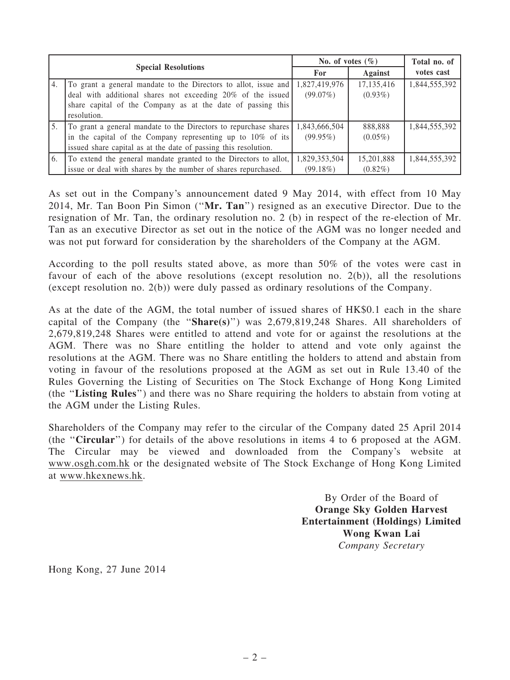| <b>Special Resolutions</b> |                                                                  | No. of votes $(\% )$ |              | Total no. of  |
|----------------------------|------------------------------------------------------------------|----------------------|--------------|---------------|
|                            |                                                                  | For                  | Against      | votes cast    |
| 4.                         | To grant a general mandate to the Directors to allot, issue and  | 1,827,419,976        | 17, 135, 416 | 1,844,555,392 |
|                            | deal with additional shares not exceeding 20% of the issued      | (99.07%)             | $(0.93\%)$   |               |
|                            | share capital of the Company as at the date of passing this      |                      |              |               |
|                            | resolution.                                                      |                      |              |               |
| 5.                         | To grant a general mandate to the Directors to repurchase shares | 1,843,666,504        | 888,888      | 1,844,555,392 |
|                            | in the capital of the Company representing up to $10\%$ of its   | $(99.95\%)$          | $(0.05\%)$   |               |
|                            | issued share capital as at the date of passing this resolution.  |                      |              |               |
| 6.                         | To extend the general mandate granted to the Directors to allot, | 1,829,353,504        | 15,201,888   | 1,844,555,392 |
|                            | issue or deal with shares by the number of shares repurchased.   | (99.18%)             | $(0.82\%)$   |               |

As set out in the Company's announcement dated 9 May 2014, with effect from 10 May 2014, Mr. Tan Boon Pin Simon (''Mr. Tan'') resigned as an executive Director. Due to the resignation of Mr. Tan, the ordinary resolution no. 2 (b) in respect of the re-election of Mr. Tan as an executive Director as set out in the notice of the AGM was no longer needed and was not put forward for consideration by the shareholders of the Company at the AGM.

According to the poll results stated above, as more than 50% of the votes were cast in favour of each of the above resolutions (except resolution no. 2(b)), all the resolutions (except resolution no. 2(b)) were duly passed as ordinary resolutions of the Company.

As at the date of the AGM, the total number of issued shares of HK\$0.1 each in the share capital of the Company (the " $Share(s)$ ") was 2,679,819,248 Shares. All shareholders of 2,679,819,248 Shares were entitled to attend and vote for or against the resolutions at the AGM. There was no Share entitling the holder to attend and vote only against the resolutions at the AGM. There was no Share entitling the holders to attend and abstain from voting in favour of the resolutions proposed at the AGM as set out in Rule 13.40 of the Rules Governing the Listing of Securities on The Stock Exchange of Hong Kong Limited (the ''Listing Rules'') and there was no Share requiring the holders to abstain from voting at the AGM under the Listing Rules.

Shareholders of the Company may refer to the circular of the Company dated 25 April 2014 (the ''Circular'') for details of the above resolutions in items 4 to 6 proposed at the AGM. The Circular may be viewed and downloaded from the Company's website at www.osgh.com.hk or the designated website of The Stock Exchange of Hong Kong Limited at www.hkexnews.hk.

> By Order of the Board of Orange Sky Golden Harvest Entertainment (Holdings) Limited Wong Kwan Lai Company Secretary

Hong Kong, 27 June 2014